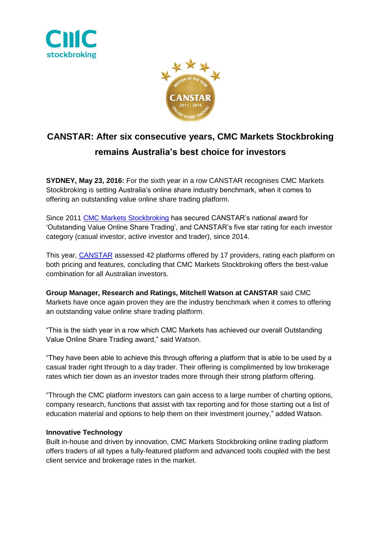



## **CANSTAR: After six consecutive years, CMC Markets Stockbroking remains Australia's best choice for investors**

**SYDNEY, May 23, 2016:** For the sixth year in a row CANSTAR recognises CMC Markets Stockbroking is setting Australia's online share industry benchmark, when it comes to offering an outstanding value online share trading platform.

Since 2011 [CMC Markets Stockbroking](http://www.cmcmarkets.com.au/en/pro-platform) has secured CANSTAR's national award for 'Outstanding Value Online Share Trading', and CANSTAR's five star rating for each investor category (casual investor, active investor and trader), since 2014.

This year, [CANSTAR](http://www.canstar.com.au/online-trading/) assessed 42 platforms offered by 17 providers, rating each platform on both pricing and features, concluding that CMC Markets Stockbroking offers the best-value combination for all Australian investors.

**Group Manager, Research and Ratings, Mitchell Watson at CANSTAR** said CMC Markets have once again proven they are the industry benchmark when it comes to offering an outstanding value online share trading platform.

"This is the sixth year in a row which CMC Markets has achieved our overall Outstanding Value Online Share Trading award," said Watson.

"They have been able to achieve this through offering a platform that is able to be used by a casual trader right through to a day trader. Their offering is complimented by low brokerage rates which tier down as an investor trades more through their strong platform offering.

"Through the CMC platform investors can gain access to a large number of charting options, company research, functions that assist with tax reporting and for those starting out a list of education material and options to help them on their investment journey," added Watson.

## **Innovative Technology**

Built in-house and driven by innovation, CMC Markets Stockbroking online trading platform offers traders of all types a fully-featured platform and advanced tools coupled with the best client service and brokerage rates in the market.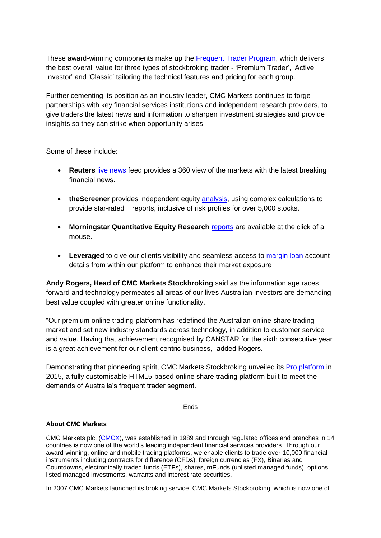These award-winning components make up the [Frequent Trader Program,](http://www.cmcmarkets.com.au/en/stockbroking/frequent-trader-program) which delivers the best overall value for three types of stockbroking trader - 'Premium Trader', 'Active Investor' and 'Classic' tailoring the technical features and pricing for each group.

Further cementing its position as an industry leader, CMC Markets continues to forge partnerships with key financial services institutions and independent research providers, to give traders the latest news and information to sharpen investment strategies and provide insights so they can strike when opportunity arises.

Some of these include:

- **Reuters** [live news](http://www.cmcmarkets.com.au/en/trading-platforms/stockbroking-platform/live-news) feed provides a 360 view of the markets with the latest breaking financial news.
- **theScreener** provides independent equity [analysis,](http://www.cmcmarkets.com.au/en/trading-platforms/stockbroking-platform/integrated-analysis-and-reporting-powered-thescreener) using complex calculations to provide star-rated reports, inclusive of risk profiles for over 5,000 stocks.
- **Morningstar Quantitative Equity Research** [reports](http://www.cmcmarkets.com.au/en/trading-platforms/platform-update-sept-2014/morningstar-quantitative-equity-research-reports) are available at the click of a mouse.
- **•** Leveraged to give our clients visibility and seamless access to [margin loan](http://www.cmcmarkets.com.au/en/cmc-markets-leveraged-equities-live-connection) account details from within our platform to enhance their market exposure

**Andy Rogers, Head of CMC Markets Stockbroking** said as the information age races forward and technology permeates all areas of our lives Australian investors are demanding best value coupled with greater online functionality.

"Our premium online trading platform has redefined the Australian online share trading market and set new industry standards across technology, in addition to customer service and value. Having that achievement recognised by CANSTAR for the sixth consecutive year is a great achievement for our client-centric business," added Rogers.

Demonstrating that pioneering spirit, CMC Markets Stockbroking unveiled its [Pro platform](http://www.cmcmarkets.com.au/en/pro-platform) in 2015, a fully customisable HTML5-based online share trading platform built to meet the demands of Australia's frequent trader segment.

-Ends-

## **About CMC Markets**

CMC Markets plc. [\(CMCX\)](http://www.cmcmarkets.com/group/), was established in 1989 and through regulated offices and branches in 14 countries is now one of the world's leading independent financial services providers. Through our award-winning, online and mobile trading platforms, we enable clients to trade over 10,000 financial instruments including contracts for difference (CFDs), foreign currencies (FX), Binaries and Countdowns, electronically traded funds (ETFs), shares, mFunds (unlisted managed funds), options, listed managed investments, warrants and interest rate securities.

In 2007 CMC Markets launched its broking service, CMC Markets Stockbroking, which is now one of